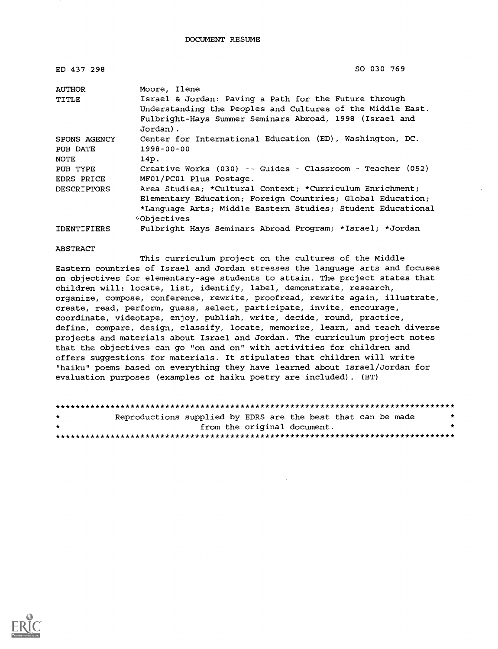| ED 437 298         | SO 030 769                                                          |
|--------------------|---------------------------------------------------------------------|
| AUTHOR             | Moore, Ilene                                                        |
| TITLE              | Israel & Jordan: Paving a Path for the Future through               |
|                    | Understanding the Peoples and Cultures of the Middle East.          |
|                    | Fulbright-Hays Summer Seminars Abroad, 1998 (Israel and<br>Jordan). |
| SPONS AGENCY       | Center for International Education (ED), Washington, DC.            |
| PUB DATE           | 1998-00-00                                                          |
| NOTE               | 14p.                                                                |
| PUB TYPE           | Creative Works (030) -- Guides - Classroom - Teacher (052)          |
| EDRS PRICE         | MF01/PC01 Plus Postage.                                             |
| <b>DESCRIPTORS</b> | Area Studies; *Cultural Context; *Curriculum Enrichment;            |
|                    | Elementary Education; Foreign Countries; Global Education;          |
|                    | *Language Arts; Middle Eastern Studies; Student Educational         |
|                    | <b>Objectives</b>                                                   |
| <b>IDENTIFIERS</b> | Fulbright Hays Seminars Abroad Program; *Israel; *Jordan            |

#### ABSTRACT

This curriculum project on the cultures of the Middle Eastern countries of Israel and Jordan stresses the language arts and focuses on objectives for elementary-age students to attain. The project states that children will: locate, list, identify, label, demonstrate, research, organize, compose, conference, rewrite, proofread, rewrite again, illustrate, create, read, perform, guess, select, participate, invite, encourage, coordinate, videotape, enjoy, publish, write, decide, round, practice, define, compare, design, classify, locate, memorize, learn, and teach diverse projects and materials about Israel and Jordan. The curriculum project notes that the objectives can go "on and on" with activities for children and offers suggestions for materials. It stipulates that children will write "haiku" poems based on everything they have learned about Israel/Jordan for evaluation purposes (examples of haiku poetry are included). (BT)

| $\star$ |  | Reproductions supplied by EDRS are the best that can be made |  | * |
|---------|--|--------------------------------------------------------------|--|---|
| $\star$ |  | from the original document.                                  |  |   |
|         |  |                                                              |  |   |

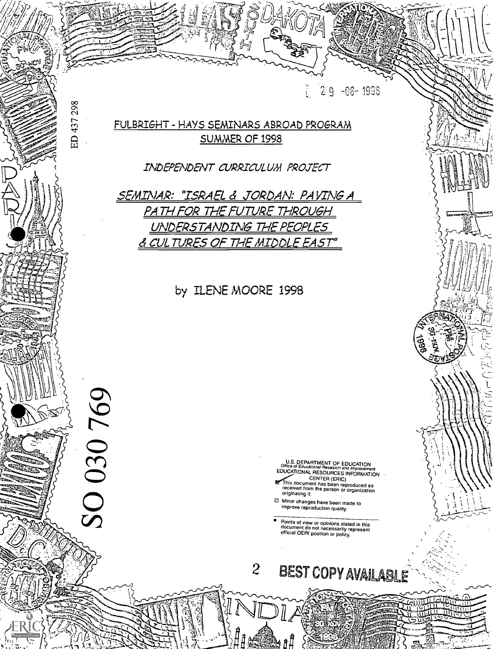

<sup>1</sup> t --Z; ,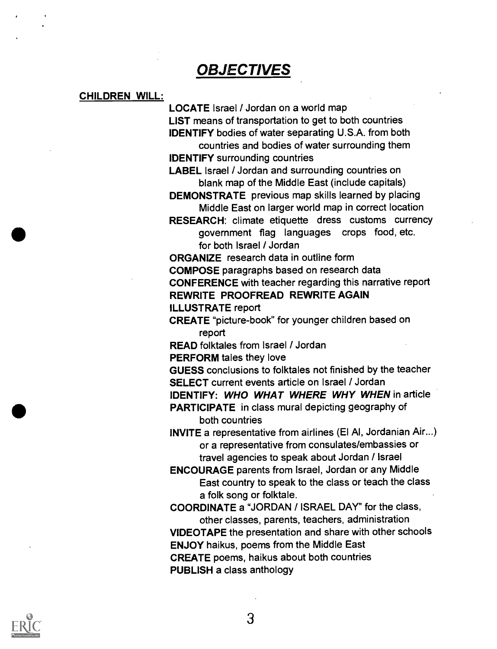## **OBJECTIVES**

#### CHILDREN WILL:

LOCATE Israel / Jordan on a world map LIST means of transportation to get to both countries IDENTIFY bodies of water separating U.S.A. from both

countries and bodies of water surrounding them IDENTIFY surrounding countries

LABEL Israel / Jordan and surrounding countries on blank map of the Middle East (include capitals)

DEMONSTRATE previous map skills learned by placing Middle East on larger world map in correct location

RESEARCH: climate etiquette dress customs currency government flag languages crops food, etc. for both Israel / Jordan

ORGANIZE research data in outline form

COMPOSE paragraphs based on research data

CONFERENCE with teacher regarding this narrative report REWRITE PROOFREAD REWRITE AGAIN

ILLUSTRATE report

CREATE "picture-book" for younger children based on report

READ folktales from Israel / Jordan

PERFORM tales they love

GUESS conclusions to folktales not finished by the teacher SELECT current events article on Israel / Jordan

IDENTIFY: WHO WHAT WHERE WHY WHEN in article

PARTICIPATE in class mural depicting geography of both countries

INVITE a representative from airlines (El Al, Jordanian Air...) or a representative from consulates/embassies or travel agencies to speak about Jordan / Israel

ENCOURAGE parents from Israel, Jordan or any Middle East country to speak to the class or teach the class a folk song or folktale.

COORDINATE a "JORDAN / ISRAEL DAY" for the class, other classes, parents, teachers, administration VIDEOTAPE the presentation and share with other schools ENJOY haikus, poems from the Middle East CREATE poems, haikus about both countries PUBLISH a class anthology

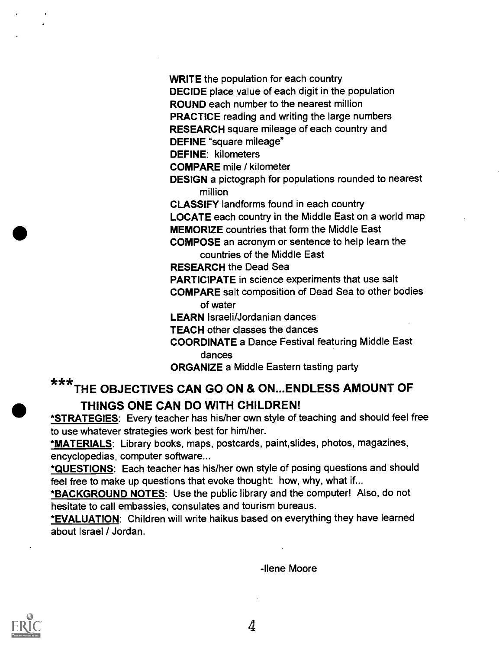WRITE the population for each country

DECIDE place value of each digit in the population

ROUND each number to the nearest million

PRACTICE reading and writing the large numbers

RESEARCH square mileage of each country and

DEFINE "square mileage"

DEFINE: kilometers

COMPARE mile / kilometer

DESIGN a pictograph for populations rounded to nearest million

CLASSIFY landforms found in each country

LOCATE each country in the Middle East on a world map

MEMORIZE countries that form the Middle East

COMPOSE an acronym or sentence to help learn the countries of the Middle East

RESEARCH the Dead Sea

PARTICIPATE in science experiments that use salt

COMPARE salt composition of Dead Sea to other bodies of water

LEARN Israeli/Jordanian dances

TEACH other classes the dances

COORDINATE a Dance Festival featuring Middle East dances

ORGANIZE a Middle Eastern tasting party

# \*\* \*THE OBJECTIVES CAN GO ON & ON...ENDLESS AMOUNT OF THINGS ONE CAN DO WITH CHILDREN!

\*STRATEGIES: Every teacher has his/her own style of teaching and should feel free to use whatever strategies work best for him/her.

\*MATERIALS: Library books, maps, postcards, paint, slides, photos, magazines, encyclopedias, computer software...

\*QUESTIONS: Each teacher has his/her own style of posing questions and should feel free to make up questions that evoke thought: how, why, what if...

\*BACKGROUND NOTES: Use the public library and the computer! Also, do not hesitate to call embassies, consulates and tourism bureaus.

\*EVALUATION: Children will write haikus based on everything they have learned about Israel / Jordan.

-Ilene Moore

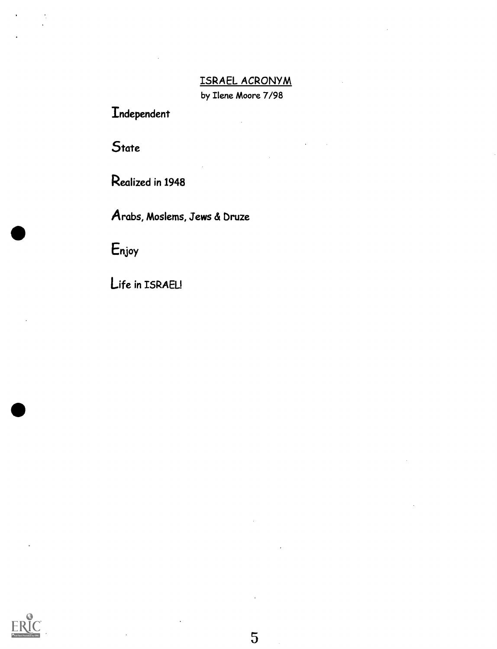## ISRAEL ACRONYM

by Ilene Moore 7/98

Independent

**State** 

Realized in 1948

Arabs, Moslems, Jews & bruze

Enjoy

Life in ISRAEL!



5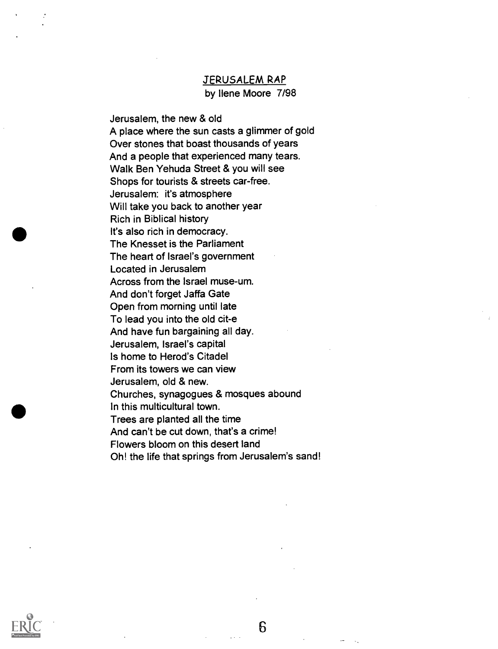# JERUSALEM RAP

by Ilene Moore 7/98

Jerusalem, the new & old A place where the sun casts a glimmer of gold Over stones that boast thousands of years And a people that experienced many tears. Walk Ben Yehuda Street & you will see Shops for tourists & streets car-free. Jerusalem: it's atmosphere Will take you back to another year Rich in Biblical history It's also rich in democracy. The Knesset is the Parliament The heart of Israel's government Located in Jerusalem Across from the Israel muse-um. And don't forget Jaffa Gate Open from morning until late To lead you into the old cit-e And have fun bargaining all day. Jerusalem, Israel's capital Is home to Herod's Citadel From its towers we can view Jerusalem, old & new. Churches, synagogues & mosques abound In this multicultural town. Trees are planted all the time And can't be cut down, that's a crime! Flowers bloom on this desert land Oh! the life that springs from Jerusalem's sand!



6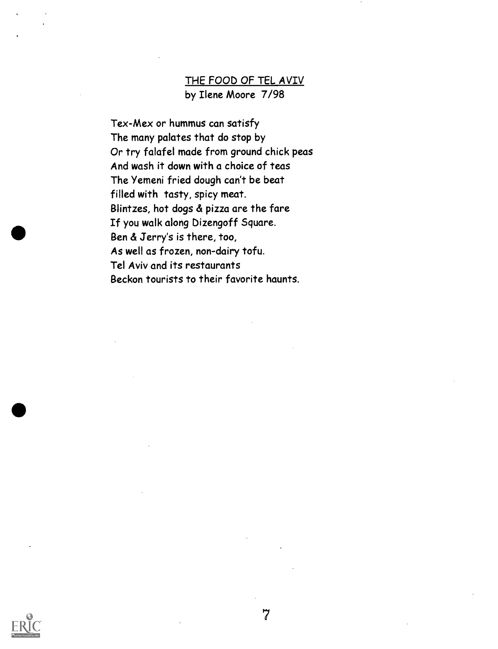## THE FOOD OF TEL AVIV by Ilene Moore 7/98

7

Tex-Mex or hummus can satisfy The many palates that do stop by Or try falafel made from ground chick peas And wash it down with a choice of teas The Yemeni fried dough can't be beat filled with tasty, spicy meat. Blintzes, hot dogs & pizza are the fare If you walk along Dizengoff Square. Ben & Jerry's is there, too, As well as frozen, non-dairy tofu. Tel Aviv and its restaurants Beckon tourists to their favorite haunts.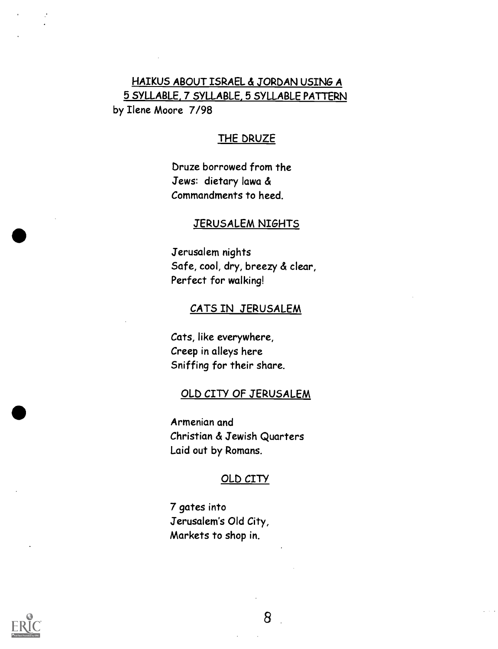## HAIKUS ABOUT ISRAEL & JORDAN USING A 5 SYLLABLE, 7 SYLLABLE, 5 SYLLABLE PATTERN by Ilene Moore 7/98

## THE DRUZE

bruze borrowed from the Jews: dietary lawa & Commandments to heed.

#### JERUSALEM NIGHTS

Jerusalem nights Safe, cool, dry, breezy & clear, Perfect for walking!

#### CATS IN JERUSALEM

Cats, like everywhere, Creep in alleys here Sniffing for their share.

#### OLD CITY OF JERUSALEM

Armenian and Christian & Jewish Quarters Laid out by Romans.

#### OLD CITY

7 gates into Jerusalem's Old City, Markets to shop in.

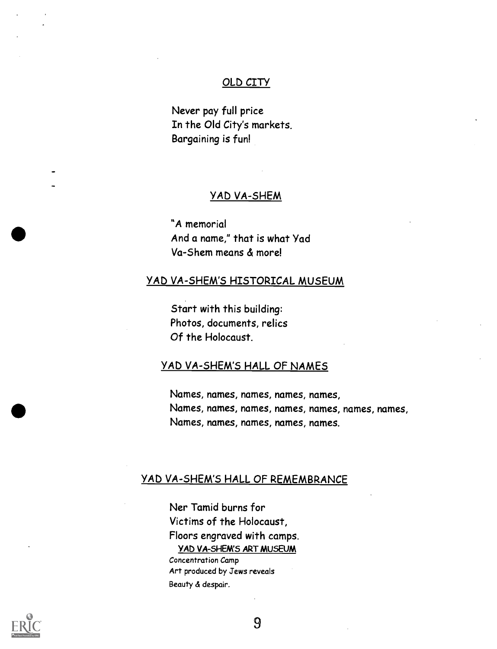#### OLD CITY

Never pay full price In the Old City's markets. Bargaining is fun!

#### YAD VA-SHEM

"A memorial And a name," that is what Yad Va-Shem means & more!

#### YAD VA-SHEM'S HISTORICAL MUSEUM

Start with this building: Photos, documents, relics Of the Holocaust.

#### YAD VA-SHEM'S HALL OF NAMES

Names, names, names, names, names, Names, names, names, names, names, names, names, Names, names, names, names, names.

## YAD VA-SHEM'S HALL OF REMEMBRANCE

Ner Tamid burns for Victims of the Holocaust, Floors engraved with camps. YAD VA-SHEM'S ART MUSEUM Concentration Camp Art produced by Jews reveals

Beauty & despair.

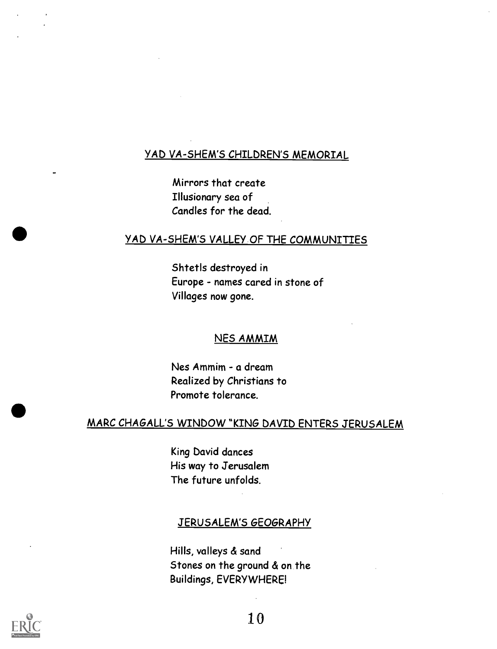## YAD VA-SHEM'S CHILDREN'S MEMORIAL

Mirrors that create Illusionary sea of Candles for the dead.

#### YAD VA-SHEM'S VALLEY OF THE COMMUNITIES

Shtetls destroyed in Europe - names cared in stone of Villages now gone.

#### NES AMMIM

Nes Ammim - a dream Realized by Christians to Promote tolerance.

## MARC CHAGALL'S WINDOW "KING DAVID ENTERS JERUSALEM

King David dances His way to Jerusalem The future unfolds.

#### JERUSALEM'S GEOGRAPHY

Hills, valleys & sand Stones on the ground & on the Buildings, EVERYWHERE!

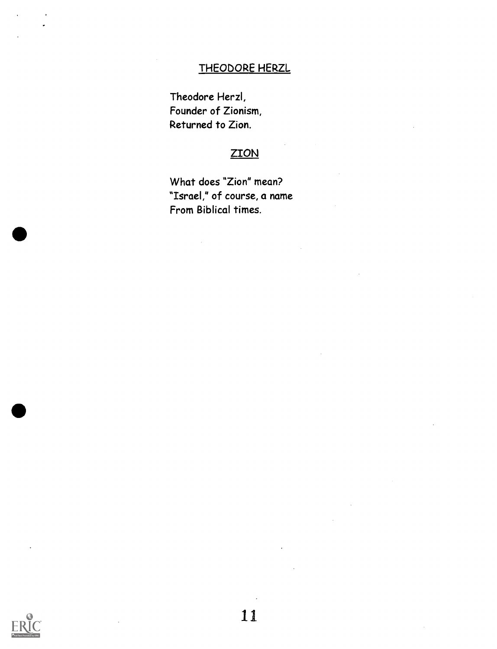## THEODORE HERZL

Theodore Herzl, Founder of Zionism, Returned to Zion.

## **ZION**

What does "Zion" mean? "Israel," of course, a name From Biblical times.

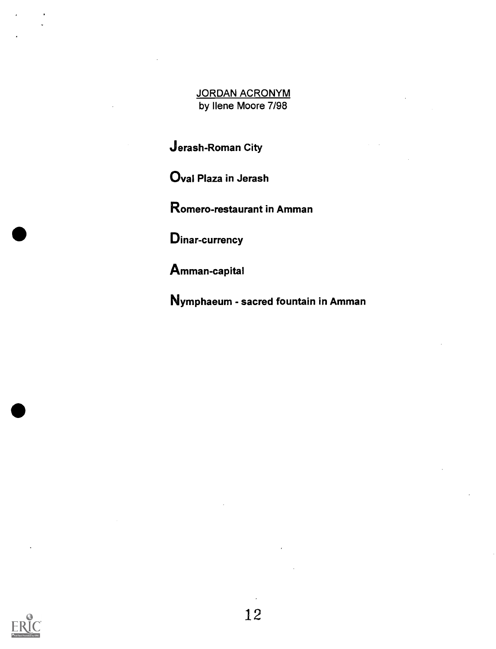JORDAN ACRONYM by Ilene Moore 7/98

Jerash-Roman City

Oval Plaza in Jerash

Romero-restaurant in Amman

Dinar-currency

Amman-capital

Nymphaeum - sacred fountain in Amman

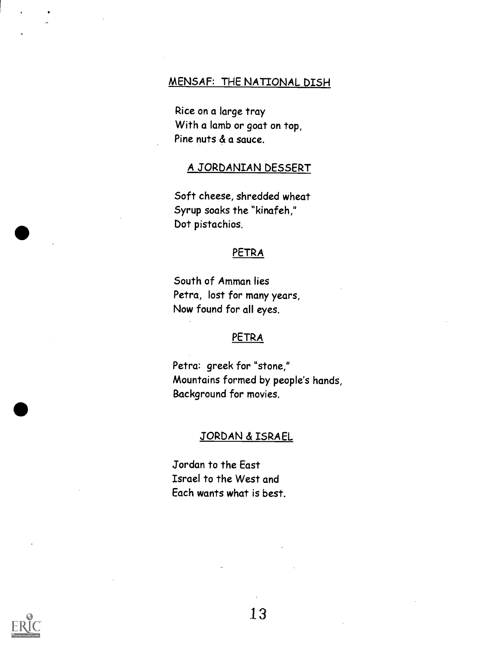#### MENSAF: THE NATIONAL DISH

Rice on a large tray With a lamb or goat on top, Pine nuts & a sauce.

#### A JORDANIAN DESSERT

Soft cheese, shredded wheat Syrup soaks the "kinafeh," Dot pistachios.

#### PETRA

South of Amman lies Petra, lost for many years, Now found for all eyes.

### PETRA

Petra: greek for "stone," Mountains formed by people's hands, Background for movies.

#### JORDAN & ISRAEL

Jordan to the East Israel to the West and Each wants what is best.

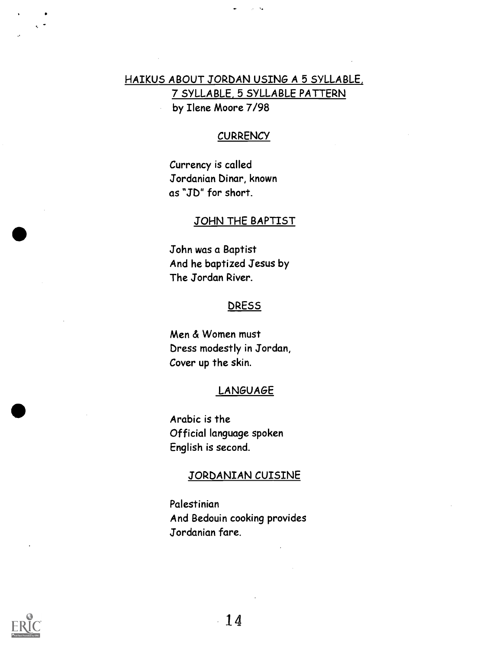## HAIKUS ABOUT JORDAN USING A 5 SYLLABLE, 7 SYLLABLE, 5 SYLLABLE PATTERN by Ilene Moore 7/98

#### **CURRENCY**

Currency is called Jordanian Dinar, known as "SD" for short.

#### JOHN THE BAPTIST

John was a Baptist And he baptized Jesus by The Jordan River.

#### **DRESS**

Men & Women must Dress modestly in Jordan, Cover up the skin.

#### LANGUAGE

Arabic is the Official language spoken English is second.

#### JORDANIAN CUISINE

Palestinian And Bedouin cooking provides Jordanian fare.